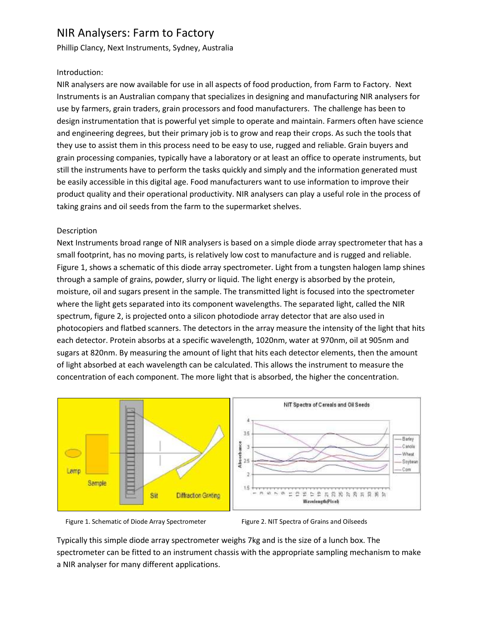# NIR Analysers: Farm to Factory

Phillip Clancy, Next Instruments, Sydney, Australia

## Introduction:

NIR analysers are now available for use in all aspects of food production, from Farm to Factory. Next Instruments is an Australian company that specializes in designing and manufacturing NIR analysers for use by farmers, grain traders, grain processors and food manufacturers. The challenge has been to design instrumentation that is powerful yet simple to operate and maintain. Farmers often have science and engineering degrees, but their primary job is to grow and reap their crops. As such the tools that they use to assist them in this process need to be easy to use, rugged and reliable. Grain buyers and grain processing companies, typically have a laboratory or at least an office to operate instruments, but still the instruments have to perform the tasks quickly and simply and the information generated must be easily accessible in this digital age. Food manufacturers want to use information to improve their product quality and their operational productivity. NIR analysers can play a useful role in the process of taking grains and oil seeds from the farm to the supermarket shelves.

## Description

Next Instruments broad range of NIR analysers is based on a simple diode array spectrometer that has a small footprint, has no moving parts, is relatively low cost to manufacture and is rugged and reliable. Figure 1, shows a schematic of this diode array spectrometer. Light from a tungsten halogen lamp shines through a sample of grains, powder, slurry or liquid. The light energy is absorbed by the protein, moisture, oil and sugars present in the sample. The transmitted light is focused into the spectrometer where the light gets separated into its component wavelengths. The separated light, called the NIR spectrum, figure 2, is projected onto a silicon photodiode array detector that are also used in photocopiers and flatbed scanners. The detectors in the array measure the intensity of the light that hits each detector. Protein absorbs at a specific wavelength, 1020nm, water at 970nm, oil at 905nm and sugars at 820nm. By measuring the amount of light that hits each detector elements, then the amount of light absorbed at each wavelength can be calculated. This allows the instrument to measure the concentration of each component. The more light that is absorbed, the higher the concentration.





Typically this simple diode array spectrometer weighs 7kg and is the size of a lunch box. The spectrometer can be fitted to an instrument chassis with the appropriate sampling mechanism to make a NIR analyser for many different applications.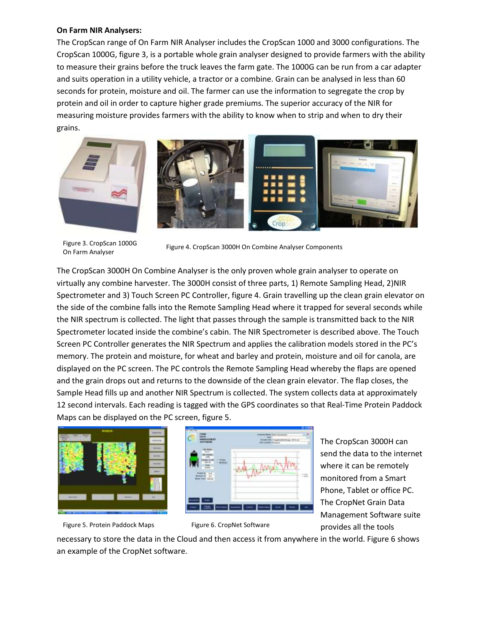#### **On Farm NIR Analysers:**

The CropScan range of On Farm NIR Analyser includes the CropScan 1000 and 3000 configurations. The CropScan 1000G, figure 3, is a portable whole grain analyser designed to provide farmers with the ability to measure their grains before the truck leaves the farm gate. The 1000G can be run from a car adapter and suits operation in a utility vehicle, a tractor or a combine. Grain can be analysed in less than 60 seconds for protein, moisture and oil. The farmer can use the information to segregate the crop by protein and oil in order to capture higher grade premiums. The superior accuracy of the NIR for measuring moisture provides farmers with the ability to know when to strip and when to dry their grains.



On Farm Analyser

Figure 3. CropScan 1000G<br>Figure 4. CropScan 3000H On Combine Analyser Components

The CropScan 3000H On Combine Analyser is the only proven whole grain analyser to operate on virtually any combine harvester. The 3000H consist of three parts, 1) Remote Sampling Head, 2)NIR Spectrometer and 3) Touch Screen PC Controller, figure 4. Grain travelling up the clean grain elevator on the side of the combine falls into the Remote Sampling Head where it trapped for several seconds while the NIR spectrum is collected. The light that passes through the sample is transmitted back to the NIR Spectrometer located inside the combine's cabin. The NIR Spectrometer is described above. The Touch Screen PC Controller generates the NIR Spectrum and applies the calibration models stored in the PC's memory. The protein and moisture, for wheat and barley and protein, moisture and oil for canola, are displayed on the PC screen. The PC controls the Remote Sampling Head whereby the flaps are opened and the grain drops out and returns to the downside of the clean grain elevator. The flap closes, the Sample Head fills up and another NIR Spectrum is collected. The system collects data at approximately 12 second intervals. Each reading is tagged with the GPS coordinates so that Real-Time Protein Paddock Maps can be displayed on the PC screen, figure 5.



Figure 5. Protein Paddock Maps Figure 6. CropNet Software



The CropScan 3000H can send the data to the internet where it can be remotely monitored from a Smart Phone, Tablet or office PC. The CropNet Grain Data Management Software suite provides all the tools

necessary to store the data in the Cloud and then access it from anywhere in the world. Figure 6 shows an example of the CropNet software.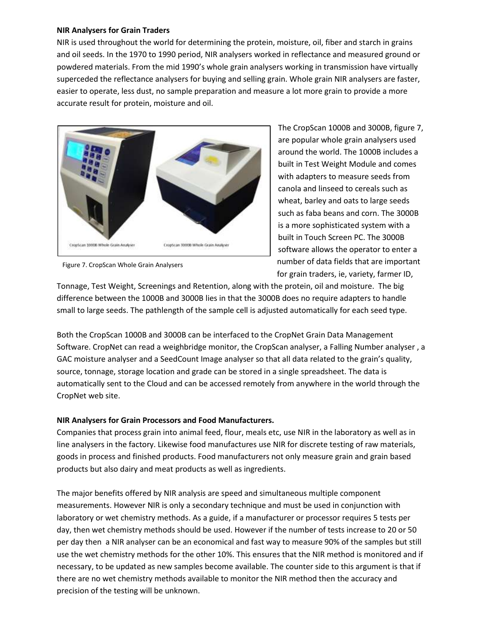### **NIR Analysers for Grain Traders**

NIR is used throughout the world for determining the protein, moisture, oil, fiber and starch in grains and oil seeds. In the 1970 to 1990 period, NIR analysers worked in reflectance and measured ground or powdered materials. From the mid 1990's whole grain analysers working in transmission have virtually superceded the reflectance analysers for buying and selling grain. Whole grain NIR analysers are faster, easier to operate, less dust, no sample preparation and measure a lot more grain to provide a more accurate result for protein, moisture and oil.



Figure 7. CropScan Whole Grain Analysers

The CropScan 1000B and 3000B, figure 7, are popular whole grain analysers used around the world. The 1000B includes a built in Test Weight Module and comes with adapters to measure seeds from canola and linseed to cereals such as wheat, barley and oats to large seeds such as faba beans and corn. The 3000B is a more sophisticated system with a built in Touch Screen PC. The 3000B software allows the operator to enter a number of data fields that are important for grain traders, ie, variety, farmer ID,

Tonnage, Test Weight, Screenings and Retention, along with the protein, oil and moisture. The big difference between the 1000B and 3000B lies in that the 3000B does no require adapters to handle small to large seeds. The pathlength of the sample cell is adjusted automatically for each seed type.

Both the CropScan 1000B and 3000B can be interfaced to the CropNet Grain Data Management Software. CropNet can read a weighbridge monitor, the CropScan analyser, a Falling Number analyser , a GAC moisture analyser and a SeedCount Image analyser so that all data related to the grain's quality, source, tonnage, storage location and grade can be stored in a single spreadsheet. The data is automatically sent to the Cloud and can be accessed remotely from anywhere in the world through the CropNet web site.

## **NIR Analysers for Grain Processors and Food Manufacturers.**

Companies that process grain into animal feed, flour, meals etc, use NIR in the laboratory as well as in line analysers in the factory. Likewise food manufactures use NIR for discrete testing of raw materials, goods in process and finished products. Food manufacturers not only measure grain and grain based products but also dairy and meat products as well as ingredients.

The major benefits offered by NIR analysis are speed and simultaneous multiple component measurements. However NIR is only a secondary technique and must be used in conjunction with laboratory or wet chemistry methods. As a guide, if a manufacturer or processor requires 5 tests per day, then wet chemistry methods should be used. However if the number of tests increase to 20 or 50 per day then a NIR analyser can be an economical and fast way to measure 90% of the samples but still use the wet chemistry methods for the other 10%. This ensures that the NIR method is monitored and if necessary, to be updated as new samples become available. The counter side to this argument is that if there are no wet chemistry methods available to monitor the NIR method then the accuracy and precision of the testing will be unknown.